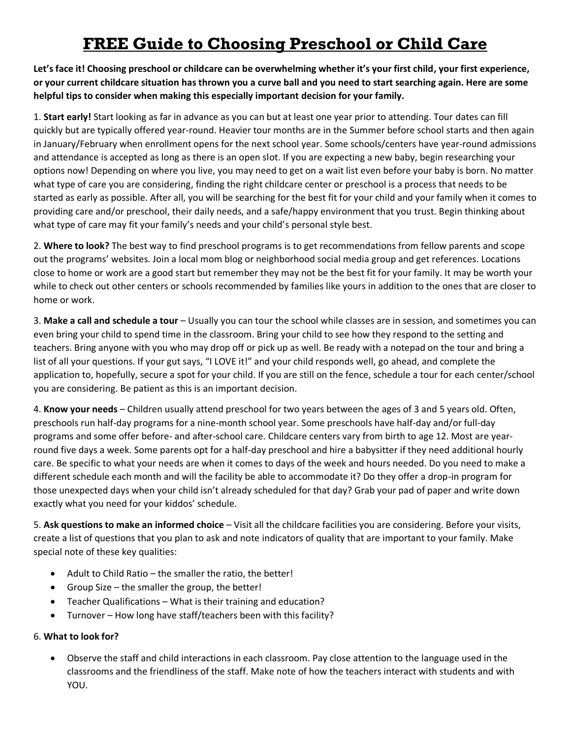## **FREE Guide to Choosing Preschool or Child Care**

**Let's face it! Choosing preschool or childcare can be overwhelming whether it's your first child, your first experience, or your current childcare situation has thrown you a curve ball and you need to start searching again. Here are some helpful tips to consider when making this especially important decision for your family.** 

1. **Start early!** Start looking as far in advance as you can but at least one year prior to attending. Tour dates can fill quickly but are typically offered year-round. Heavier tour months are in the Summer before school starts and then again in January/February when enrollment opens for the next school year. Some schools/centers have year-round admissions and attendance is accepted as long as there is an open slot. If you are expecting a new baby, begin researching your options now! Depending on where you live, you may need to get on a wait list even before your baby is born. No matter what type of care you are considering, finding the right childcare center or preschool is a process that needs to be started as early as possible. After all, you will be searching for the best fit for your child and your family when it comes to providing care and/or preschool, their daily needs, and a safe/happy environment that you trust. Begin thinking about what type of care may fit your family's needs and your child's personal style best.

2. **Where to look?** The best way to find preschool programs is to get recommendations from fellow parents and scope out the programs' websites. Join a local mom blog or neighborhood social media group and get references. Locations close to home or work are a good start but remember they may not be the best fit for your family. It may be worth your while to check out other centers or schools recommended by families like yours in addition to the ones that are closer to home or work.

3. **Make a call and schedule a tour** – Usually you can tour the school while classes are in session, and sometimes you can even bring your child to spend time in the classroom. Bring your child to see how they respond to the setting and teachers. Bring anyone with you who may drop off or pick up as well. Be ready with a notepad on the tour and bring a list of all your questions. If your gut says, "I LOVE it!" and your child responds well, go ahead, and complete the application to, hopefully, secure a spot for your child. If you are still on the fence, schedule a tour for each center/school you are considering. Be patient as this is an important decision.

4. **Know your needs** – Children usually attend preschool for two years between the ages of 3 and 5 years old. Often, preschools run half-day programs for a nine-month school year. Some preschools have half-day and/or full-day programs and some offer before- and after-school care. Childcare centers vary from birth to age 12. Most are yearround five days a week. Some parents opt for a half-day preschool and hire a babysitter if they need additional hourly care. Be specific to what your needs are when it comes to days of the week and hours needed. Do you need to make a different schedule each month and will the facility be able to accommodate it? Do they offer a drop-in program for those unexpected days when your child isn't already scheduled for that day? Grab your pad of paper and write down exactly what you need for your kiddos' schedule.

5. **Ask questions to make an informed choice** – Visit all the childcare facilities you are considering. Before your visits, create a list of questions that you plan to ask and note indicators of quality that are important to your family. Make special note of these key qualities:

- Adult to Child Ratio the smaller the ratio, the better!
- Group Size the smaller the group, the better!
- Teacher Qualifications What is their training and education?
- Turnover How long have staff/teachers been with this facility?

## 6. **What to look for?**

• Observe the staff and child interactions in each classroom. Pay close attention to the language used in the classrooms and the friendliness of the staff. Make note of how the teachers interact with students and with YOU.